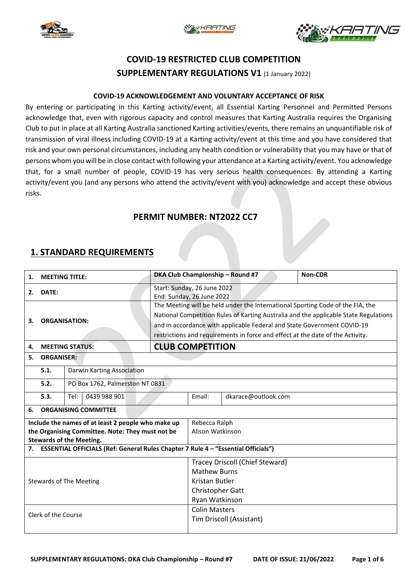





# **COVID-19 RESTRICTED CLUB COMPETITION SUPPLEMENTARY REGULATIONS V1** (1 January 2022)

#### **COVID-19 ACKNOWLEDGEMENT AND VOLUNTARY ACCEPTANCE OF RISK**

By entering or participating in this Karting activity/event, all Essential Karting Personnel and Permitted Persons acknowledge that, even with rigorous capacity and control measures that Karting Australia requires the Organising Club to put in place at all Karting Australia sanctioned Karting activities/events, there remains an unquantifiable risk of transmission of viral illness including COVID-19 at a Karting activity/event at this time and you have considered that risk and your own personal circumstances, including any health condition or vulnerability that you may have or that of persons whom you will be in close contact with following your attendance at a Karting activity/event. You acknowledge that, for a small number of people, COVID-19 has very serious health consequences. By attending a Karting activity/event you (and any persons who attend the activity/event with you) acknowledge and accept these obvious risks.

### **PERMIT NUMBER: NT2022 CC7**

### **1. STANDARD REQUIREMENTS**

| <b>MEETING TITLE:</b><br>1.                                                          |                                                |                                 |                                                          |                                                                                | DKA Club Championship - Round #7                                               | Non-CDR                                                                              |  |  |  |  |
|--------------------------------------------------------------------------------------|------------------------------------------------|---------------------------------|----------------------------------------------------------|--------------------------------------------------------------------------------|--------------------------------------------------------------------------------|--------------------------------------------------------------------------------------|--|--|--|--|
| DATE:<br>2.                                                                          |                                                |                                 | Start: Sunday, 26 June 2022<br>End: Sunday, 26 June 2022 |                                                                                |                                                                                |                                                                                      |  |  |  |  |
|                                                                                      |                                                |                                 |                                                          |                                                                                | The Meeting will be held under the International Sporting Code of the FIA, the |                                                                                      |  |  |  |  |
|                                                                                      |                                                |                                 |                                                          |                                                                                |                                                                                | National Competition Rules of Karting Australia and the applicable State Regulations |  |  |  |  |
| З.                                                                                   | <b>ORGANISATION:</b><br><b>MEETING STATUS:</b> |                                 |                                                          |                                                                                | and in accordance with applicable Federal and State Government COVID-19        |                                                                                      |  |  |  |  |
|                                                                                      |                                                |                                 |                                                          | restrictions and requirements in force and effect at the date of the Activity. |                                                                                |                                                                                      |  |  |  |  |
| 4.                                                                                   |                                                |                                 |                                                          | <b>CLUB COMPETITION</b>                                                        |                                                                                |                                                                                      |  |  |  |  |
| 5.                                                                                   |                                                |                                 |                                                          |                                                                                |                                                                                |                                                                                      |  |  |  |  |
|                                                                                      | <b>ORGANISER:</b>                              |                                 |                                                          |                                                                                |                                                                                |                                                                                      |  |  |  |  |
|                                                                                      | 5.1.                                           | Darwin Karting Association      |                                                          |                                                                                |                                                                                |                                                                                      |  |  |  |  |
|                                                                                      | 5.2.                                           | PO Box 1762, Palmerston NT 0831 |                                                          |                                                                                |                                                                                |                                                                                      |  |  |  |  |
|                                                                                      | 5.3.                                           | Tel:<br>0439 988 901            |                                                          |                                                                                | Email:                                                                         | dkarace@outlook.com                                                                  |  |  |  |  |
| 6.                                                                                   | <b>ORGANISING COMMITTEE</b>                    |                                 |                                                          |                                                                                |                                                                                |                                                                                      |  |  |  |  |
| Include the names of at least 2 people who make up                                   |                                                |                                 |                                                          |                                                                                | Rebecca Ralph                                                                  |                                                                                      |  |  |  |  |
| the Organising Committee. Note: They must not be                                     |                                                |                                 |                                                          |                                                                                | Alison Watkinson                                                               |                                                                                      |  |  |  |  |
| <b>Stewards of the Meeting.</b>                                                      |                                                |                                 |                                                          |                                                                                |                                                                                |                                                                                      |  |  |  |  |
| 7. ESSENTIAL OFFICIALS (Ref: General Rules Chapter 7 Rule 4 - "Essential Officials") |                                                |                                 |                                                          |                                                                                |                                                                                |                                                                                      |  |  |  |  |
|                                                                                      |                                                |                                 |                                                          |                                                                                |                                                                                | Tracey Driscoll (Chief Steward)                                                      |  |  |  |  |
|                                                                                      |                                                |                                 |                                                          |                                                                                |                                                                                | <b>Mathew Burns</b>                                                                  |  |  |  |  |
| <b>Stewards of The Meeting</b>                                                       |                                                |                                 |                                                          |                                                                                | Kristan Butler                                                                 |                                                                                      |  |  |  |  |
|                                                                                      |                                                |                                 |                                                          |                                                                                |                                                                                | Christopher Gatt                                                                     |  |  |  |  |
|                                                                                      |                                                |                                 |                                                          |                                                                                |                                                                                | Ryan Watkinson                                                                       |  |  |  |  |
| Clerk of the Course                                                                  |                                                |                                 |                                                          |                                                                                | <b>Colin Masters</b>                                                           |                                                                                      |  |  |  |  |
|                                                                                      |                                                |                                 |                                                          |                                                                                | Tim Driscoll (Assistant)                                                       |                                                                                      |  |  |  |  |
|                                                                                      |                                                |                                 |                                                          |                                                                                |                                                                                |                                                                                      |  |  |  |  |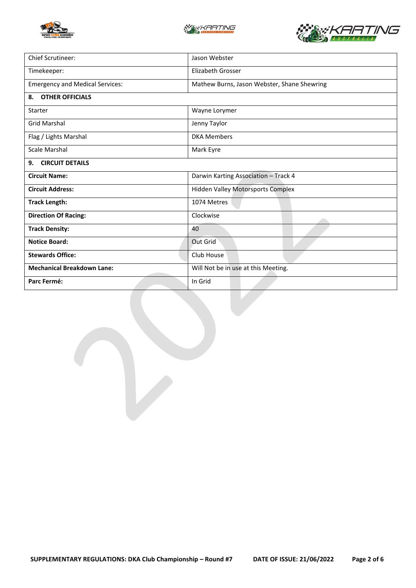





| Chief Scrutineer:                      | Jason Webster                               |  |  |  |
|----------------------------------------|---------------------------------------------|--|--|--|
| Timekeeper:                            | <b>Elizabeth Grosser</b>                    |  |  |  |
| <b>Emergency and Medical Services:</b> | Mathew Burns, Jason Webster, Shane Shewring |  |  |  |
| <b>OTHER OFFICIALS</b><br>8.           |                                             |  |  |  |
| Starter                                | Wayne Lorymer                               |  |  |  |
| <b>Grid Marshal</b>                    | Jenny Taylor                                |  |  |  |
| Flag / Lights Marshal                  | <b>DKA Members</b>                          |  |  |  |
| Scale Marshal                          | Mark Eyre                                   |  |  |  |
| <b>CIRCUIT DETAILS</b><br>9.           |                                             |  |  |  |
| <b>Circuit Name:</b>                   | Darwin Karting Association - Track 4        |  |  |  |
| <b>Circuit Address:</b>                | <b>Hidden Valley Motorsports Complex</b>    |  |  |  |
| <b>Track Length:</b>                   | 1074 Metres                                 |  |  |  |
| <b>Direction Of Racing:</b>            | Clockwise                                   |  |  |  |
| <b>Track Density:</b>                  | 40                                          |  |  |  |
| <b>Notice Board:</b>                   | Out Grid                                    |  |  |  |
| <b>Stewards Office:</b>                | Club House                                  |  |  |  |
| <b>Mechanical Breakdown Lane:</b>      | Will Not be in use at this Meeting.         |  |  |  |
| Parc Fermé:                            | In Grid                                     |  |  |  |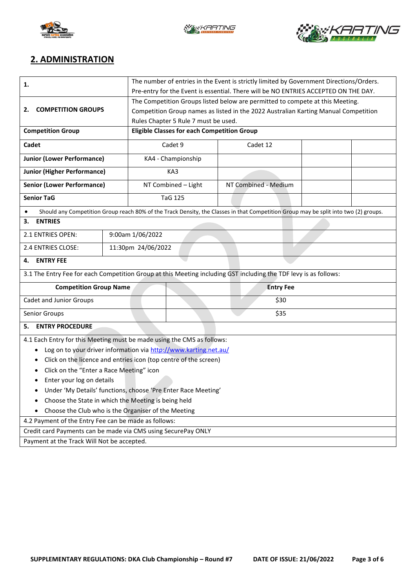





## **2. ADMINISTRATION**

| 1.                                                                     | The number of entries in the Event is strictly limited by Government Directions/Orders.                                              |                                                    |                                                                                     |                      |  |  |  |
|------------------------------------------------------------------------|--------------------------------------------------------------------------------------------------------------------------------------|----------------------------------------------------|-------------------------------------------------------------------------------------|----------------------|--|--|--|
|                                                                        | Pre-entry for the Event is essential. There will be NO ENTRIES ACCEPTED ON THE DAY.                                                  |                                                    |                                                                                     |                      |  |  |  |
|                                                                        | The Competition Groups listed below are permitted to compete at this Meeting.                                                        |                                                    |                                                                                     |                      |  |  |  |
| <b>COMPETITION GROUPS</b><br>2.                                        |                                                                                                                                      |                                                    | Competition Group names as listed in the 2022 Australian Karting Manual Competition |                      |  |  |  |
|                                                                        |                                                                                                                                      |                                                    | Rules Chapter 5 Rule 7 must be used.                                                |                      |  |  |  |
| <b>Competition Group</b>                                               |                                                                                                                                      | <b>Eligible Classes for each Competition Group</b> |                                                                                     |                      |  |  |  |
| Cadet                                                                  |                                                                                                                                      | Cadet 9                                            |                                                                                     | Cadet 12             |  |  |  |
| <b>Junior (Lower Performance)</b>                                      |                                                                                                                                      |                                                    | KA4 - Championship                                                                  |                      |  |  |  |
| <b>Junior (Higher Performance)</b>                                     |                                                                                                                                      | KA3                                                |                                                                                     |                      |  |  |  |
| <b>Senior (Lower Performance)</b>                                      |                                                                                                                                      |                                                    | NT Combined - Light                                                                 | NT Combined - Medium |  |  |  |
| <b>Senior TaG</b>                                                      |                                                                                                                                      |                                                    | <b>TaG 125</b>                                                                      |                      |  |  |  |
|                                                                        | Should any Competition Group reach 80% of the Track Density, the Classes in that Competition Group may be split into two (2) groups. |                                                    |                                                                                     |                      |  |  |  |
| <b>ENTRIES</b><br>3.                                                   |                                                                                                                                      |                                                    |                                                                                     |                      |  |  |  |
| 9:00am 1/06/2022<br>2.1 ENTRIES OPEN:                                  |                                                                                                                                      |                                                    |                                                                                     |                      |  |  |  |
| 2.4 ENTRIES CLOSE:                                                     |                                                                                                                                      | 11:30pm 24/06/2022                                 |                                                                                     |                      |  |  |  |
| <b>ENTRY FEE</b><br>4.                                                 |                                                                                                                                      |                                                    |                                                                                     |                      |  |  |  |
|                                                                        | 3.1 The Entry Fee for each Competition Group at this Meeting including GST including the TDF levy is as follows:                     |                                                    |                                                                                     |                      |  |  |  |
| <b>Competition Group Name</b>                                          |                                                                                                                                      | <b>Entry Fee</b>                                   |                                                                                     |                      |  |  |  |
| Cadet and Junior Groups                                                |                                                                                                                                      |                                                    | \$30                                                                                |                      |  |  |  |
| Senior Groups                                                          | \$35                                                                                                                                 |                                                    |                                                                                     |                      |  |  |  |
| <b>ENTRY PROCEDURE</b><br>5.                                           |                                                                                                                                      |                                                    |                                                                                     |                      |  |  |  |
| 4.1 Each Entry for this Meeting must be made using the CMS as follows: |                                                                                                                                      |                                                    |                                                                                     |                      |  |  |  |
| Log on to your driver information via http://www.karting.net.au/<br>٠  |                                                                                                                                      |                                                    |                                                                                     |                      |  |  |  |
| Click on the licence and entries icon (top centre of the screen)<br>٠  |                                                                                                                                      |                                                    |                                                                                     |                      |  |  |  |
| Click on the "Enter a Race Meeting" icon<br>٠                          |                                                                                                                                      |                                                    |                                                                                     |                      |  |  |  |
| Enter your log on details                                              |                                                                                                                                      |                                                    |                                                                                     |                      |  |  |  |
| Under 'My Details' functions, choose 'Pre Enter Race Meeting'          |                                                                                                                                      |                                                    |                                                                                     |                      |  |  |  |
| Choose the State in which the Meeting is being held<br>٠               |                                                                                                                                      |                                                    |                                                                                     |                      |  |  |  |
| Choose the Club who is the Organiser of the Meeting                    |                                                                                                                                      |                                                    |                                                                                     |                      |  |  |  |
| 4.2 Payment of the Entry Fee can be made as follows:                   |                                                                                                                                      |                                                    |                                                                                     |                      |  |  |  |
| Credit card Payments can be made via CMS using SecurePay ONLY          |                                                                                                                                      |                                                    |                                                                                     |                      |  |  |  |
| Payment at the Track Will Not be accepted.                             |                                                                                                                                      |                                                    |                                                                                     |                      |  |  |  |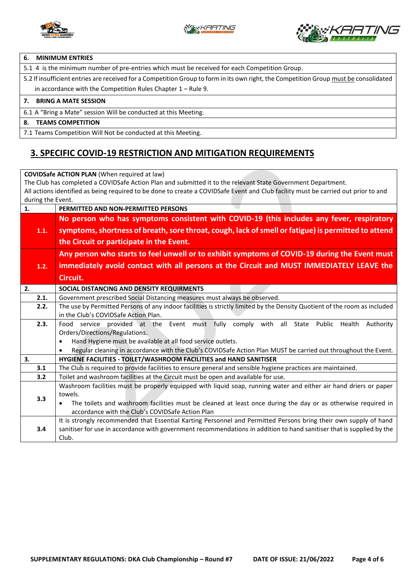



#### **6. MINIMUM ENTRIES**

5.1 4 is the minimum number of pre-entries which must be received for each Competition Group.

5.2 If insufficient entries are received for a Competition Group to form in its own right, the Competition Group must be consolidated in accordance with the Competition Rules Chapter 1 – Rule 9.

#### **7. BRING A MATE SESSION**

6.1 A "Bring a Mate" session Will be conducted at this Meeting.

#### **8. TEAMS COMPETITION**

7.1 Teams Competition Will Not be conducted at this Meeting.

### **3. SPECIFIC COVID-19 RESTRICTION AND MITIGATION REQUIREMENTS**

**COVIDSafe ACTION PLAN** (When required at law) The Club has completed a COVIDSafe Action Plan and submitted it to the relevant State Government Department. All actions identified as being required to be done to create a COVIDSafe Event and Club facility must be carried out prior to and during the Event. **1. PERMITTED AND NON-PERMITTED PERSONS 1.1. No person who has symptoms consistent with COVID-19 (this includes any fever, respiratory symptoms, shortness of breath, sore throat, cough, lack of smell or fatigue) is permitted to attend the Circuit or participate in the Event. 1.2. Any person who starts to feel unwell or to exhibit symptoms of COVID-19 during the Event must immediately avoid contact with all persons at the Circuit and MUST IMMEDIATELY LEAVE the Circuit. 2. SOCIAL DISTANCING AND DENSITY REQUIRMENTS**  2.1. Government prescribed Social Distancing measures must always be observed. **2.2.** The use by Permitted Persons of any indoor facilities is strictly limited by the Density Quotient of the room as included in the Club's COVIDSafe Action Plan. **2.3.** Food service provided at the Event must fully comply with all State Public Health Authority Orders/Directions/Regulations. • Hand Hygiene must be available at all food service outlets. • Regular cleaning in accordance with the Club's COVIDSafe Action Plan MUST be carried out throughout the Event. **3. HYGIENE FACILITIES - TOILET/WASHROOM FACILITIES and HAND SANITISER 3.1** The Club is required to provide facilities to ensure general and sensible hygiene practices are maintained. **3.2** Toilet and washroom facilities at the Circuit must be open and available for use. **3.3** Washroom facilities must be properly equipped with liquid soap, running water and either air hand driers or paper towels. • The toilets and washroom facilities must be cleaned at least once during the day or as otherwise required in accordance with the Club's COVIDSafe Action Plan **3.4** It is strongly recommended that Essential Karting Personnel and Permitted Persons bring their own supply of hand sanitiser for use in accordance with government recommendations in addition to hand sanitiser that is supplied by the Club.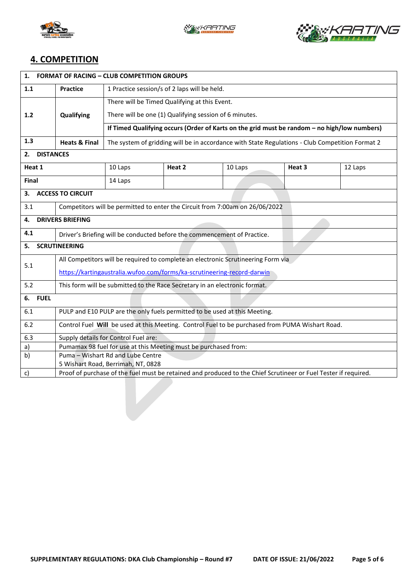





## **4. COMPETITION**

| <b>FORMAT OF RACING - CLUB COMPETITION GROUPS</b><br>1. |                                                                                                                 |                                                                                                 |        |         |        |         |  |  |
|---------------------------------------------------------|-----------------------------------------------------------------------------------------------------------------|-------------------------------------------------------------------------------------------------|--------|---------|--------|---------|--|--|
| 1.1                                                     | 1 Practice session/s of 2 laps will be held.<br><b>Practice</b>                                                 |                                                                                                 |        |         |        |         |  |  |
|                                                         | Qualifying                                                                                                      | There will be Timed Qualifying at this Event.                                                   |        |         |        |         |  |  |
| 1.2                                                     |                                                                                                                 | There will be one (1) Qualifying session of 6 minutes.                                          |        |         |        |         |  |  |
|                                                         |                                                                                                                 | If Timed Qualifying occurs (Order of Karts on the grid must be random - no high/low numbers)    |        |         |        |         |  |  |
| 1.3                                                     | <b>Heats &amp; Final</b>                                                                                        | The system of gridding will be in accordance with State Regulations - Club Competition Format 2 |        |         |        |         |  |  |
| <b>DISTANCES</b><br>2.                                  |                                                                                                                 |                                                                                                 |        |         |        |         |  |  |
| Heat 1                                                  |                                                                                                                 | 10 Laps                                                                                         | Heat 2 | 10 Laps | Heat 3 | 12 Laps |  |  |
| <b>Final</b>                                            |                                                                                                                 | 14 Laps                                                                                         |        |         |        |         |  |  |
| 3.                                                      | <b>ACCESS TO CIRCUIT</b>                                                                                        |                                                                                                 |        |         |        |         |  |  |
| 3.1                                                     | Competitors will be permitted to enter the Circuit from 7:00am on 26/06/2022                                    |                                                                                                 |        |         |        |         |  |  |
| 4.                                                      | <b>DRIVERS BRIEFING</b>                                                                                         |                                                                                                 |        |         |        |         |  |  |
| 4.1                                                     | Driver's Briefing will be conducted before the commencement of Practice.                                        |                                                                                                 |        |         |        |         |  |  |
| <b>SCRUTINEERING</b><br>5.                              |                                                                                                                 |                                                                                                 |        |         |        |         |  |  |
| 5.1                                                     | All Competitors will be required to complete an electronic Scrutineering Form via                               |                                                                                                 |        |         |        |         |  |  |
|                                                         | https://kartingaustralia.wufoo.com/forms/ka-scrutineering-record-darwin                                         |                                                                                                 |        |         |        |         |  |  |
| 5.2                                                     | This form will be submitted to the Race Secretary in an electronic format.                                      |                                                                                                 |        |         |        |         |  |  |
| 6. FUEL                                                 |                                                                                                                 |                                                                                                 |        |         |        |         |  |  |
| 6.1                                                     | PULP and E10 PULP are the only fuels permitted to be used at this Meeting.                                      |                                                                                                 |        |         |        |         |  |  |
| 6.2                                                     | Control Fuel Will be used at this Meeting. Control Fuel to be purchased from PUMA Wishart Road.                 |                                                                                                 |        |         |        |         |  |  |
| 6.3                                                     | Supply details for Control Fuel are:                                                                            |                                                                                                 |        |         |        |         |  |  |
| a)                                                      | Pumamax 98 fuel for use at this Meeting must be purchased from:                                                 |                                                                                                 |        |         |        |         |  |  |
| b)                                                      |                                                                                                                 | Puma - Wishart Rd and Lube Centre                                                               |        |         |        |         |  |  |
|                                                         | 5 Wishart Road, Berrimah, NT, 0828                                                                              |                                                                                                 |        |         |        |         |  |  |
| c)                                                      | Proof of purchase of the fuel must be retained and produced to the Chief Scrutineer or Fuel Tester if required. |                                                                                                 |        |         |        |         |  |  |